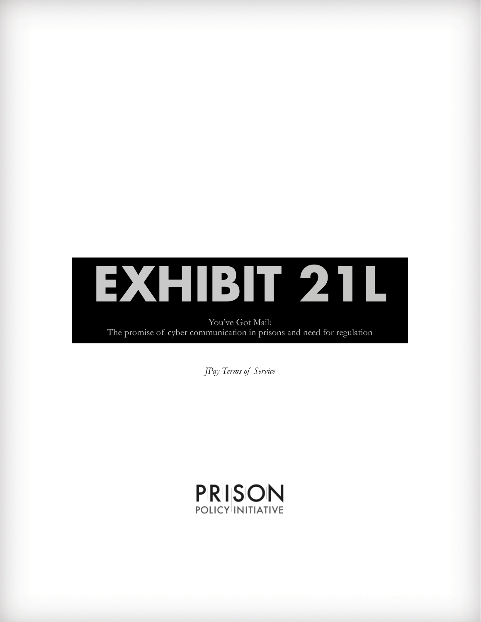

You've Got Mail: The promise of cyber communication in prisons and need for regulation

*JPay Terms of Service*

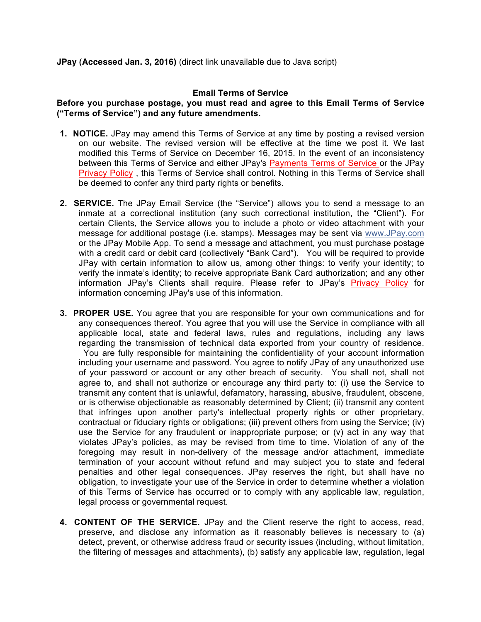## **Email Terms of Service**

## **Before you purchase postage, you must read and agree to this Email Terms of Service ("Terms of Service") and any future amendments.**

- **1. NOTICE.** JPay may amend this Terms of Service at any time by posting a revised version on our website. The revised version will be effective at the time we post it. We last modified this Terms of Service on December 16, 2015. In the event of an inconsistency between this Terms of Service and either JPay's Payments Terms of Service or the JPay Privacy Policy , this Terms of Service shall control. Nothing in this Terms of Service shall be deemed to confer any third party rights or benefits.
- **2. SERVICE.** The JPay Email Service (the "Service") allows you to send a message to an inmate at a correctional institution (any such correctional institution, the "Client"). For certain Clients, the Service allows you to include a photo or video attachment with your message for additional postage (i.e. stamps). Messages may be sent via www.JPay.com or the JPay Mobile App. To send a message and attachment, you must purchase postage with a credit card or debit card (collectively "Bank Card"). You will be required to provide JPay with certain information to allow us, among other things: to verify your identity; to verify the inmate's identity; to receive appropriate Bank Card authorization; and any other information JPay's Clients shall require. Please refer to JPay's Privacy Policy for information concerning JPay's use of this information.
- **3. PROPER USE.** You agree that you are responsible for your own communications and for any consequences thereof. You agree that you will use the Service in compliance with all applicable local, state and federal laws, rules and regulations, including any laws regarding the transmission of technical data exported from your country of residence. You are fully responsible for maintaining the confidentiality of your account information including your username and password. You agree to notify JPay of any unauthorized use of your password or account or any other breach of security. You shall not, shall not agree to, and shall not authorize or encourage any third party to: (i) use the Service to transmit any content that is unlawful, defamatory, harassing, abusive, fraudulent, obscene, or is otherwise objectionable as reasonably determined by Client; (ii) transmit any content that infringes upon another party's intellectual property rights or other proprietary, contractual or fiduciary rights or obligations; (iii) prevent others from using the Service; (iv) use the Service for any fraudulent or inappropriate purpose; or (v) act in any way that violates JPay's policies, as may be revised from time to time. Violation of any of the foregoing may result in non-delivery of the message and/or attachment, immediate termination of your account without refund and may subject you to state and federal penalties and other legal consequences. JPay reserves the right, but shall have no obligation, to investigate your use of the Service in order to determine whether a violation of this Terms of Service has occurred or to comply with any applicable law, regulation, legal process or governmental request.
- **4. CONTENT OF THE SERVICE.** JPay and the Client reserve the right to access, read, preserve, and disclose any information as it reasonably believes is necessary to (a) detect, prevent, or otherwise address fraud or security issues (including, without limitation, the filtering of messages and attachments), (b) satisfy any applicable law, regulation, legal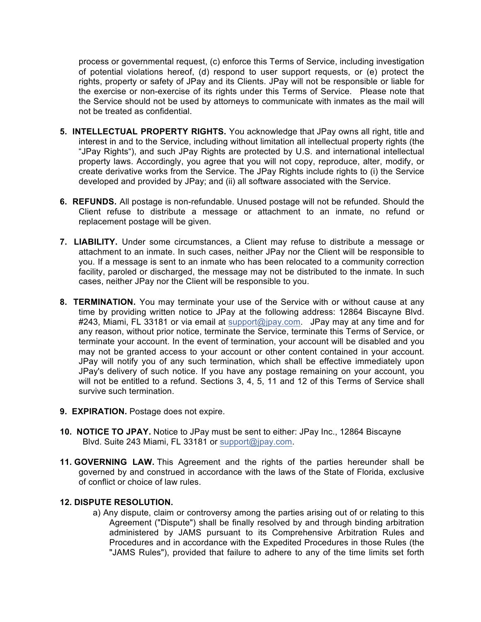process or governmental request, (c) enforce this Terms of Service, including investigation of potential violations hereof, (d) respond to user support requests, or (e) protect the rights, property or safety of JPay and its Clients. JPay will not be responsible or liable for the exercise or non-exercise of its rights under this Terms of Service. Please note that the Service should not be used by attorneys to communicate with inmates as the mail will not be treated as confidential.

- **5. INTELLECTUAL PROPERTY RIGHTS.** You acknowledge that JPay owns all right, title and interest in and to the Service, including without limitation all intellectual property rights (the "JPay Rights"), and such JPay Rights are protected by U.S. and international intellectual property laws. Accordingly, you agree that you will not copy, reproduce, alter, modify, or create derivative works from the Service. The JPay Rights include rights to (i) the Service developed and provided by JPay; and (ii) all software associated with the Service.
- **6. REFUNDS.** All postage is non-refundable. Unused postage will not be refunded. Should the Client refuse to distribute a message or attachment to an inmate, no refund or replacement postage will be given.
- **7. LIABILITY.** Under some circumstances, a Client may refuse to distribute a message or attachment to an inmate. In such cases, neither JPay nor the Client will be responsible to you. If a message is sent to an inmate who has been relocated to a community correction facility, paroled or discharged, the message may not be distributed to the inmate. In such cases, neither JPay nor the Client will be responsible to you.
- **8. TERMINATION.** You may terminate your use of the Service with or without cause at any time by providing written notice to JPay at the following address: 12864 Biscayne Blvd. #243, Miami, FL 33181 or via email at support@jpay.com. JPay may at any time and for any reason, without prior notice, terminate the Service, terminate this Terms of Service, or terminate your account. In the event of termination, your account will be disabled and you may not be granted access to your account or other content contained in your account. JPay will notify you of any such termination, which shall be effective immediately upon JPay's delivery of such notice. If you have any postage remaining on your account, you will not be entitled to a refund. Sections 3, 4, 5, 11 and 12 of this Terms of Service shall survive such termination.
- **9. EXPIRATION.** Postage does not expire.
- **10. NOTICE TO JPAY.** Notice to JPay must be sent to either: JPay Inc., 12864 Biscayne Blvd. Suite 243 Miami, FL 33181 or support@jpay.com.
- **11. GOVERNING LAW.** This Agreement and the rights of the parties hereunder shall be governed by and construed in accordance with the laws of the State of Florida, exclusive of conflict or choice of law rules.

## **12. DISPUTE RESOLUTION.**

a) Any dispute, claim or controversy among the parties arising out of or relating to this Agreement ("Dispute") shall be finally resolved by and through binding arbitration administered by JAMS pursuant to its Comprehensive Arbitration Rules and Procedures and in accordance with the Expedited Procedures in those Rules (the "JAMS Rules"), provided that failure to adhere to any of the time limits set forth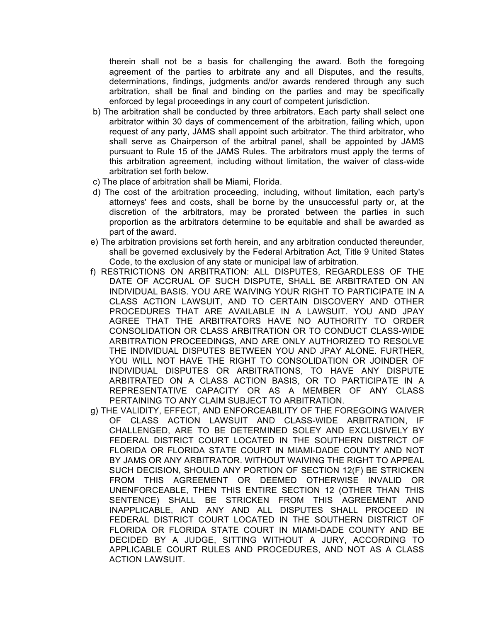therein shall not be a basis for challenging the award. Both the foregoing agreement of the parties to arbitrate any and all Disputes, and the results, determinations, findings, judgments and/or awards rendered through any such arbitration, shall be final and binding on the parties and may be specifically enforced by legal proceedings in any court of competent jurisdiction.

- b) The arbitration shall be conducted by three arbitrators. Each party shall select one arbitrator within 30 days of commencement of the arbitration, failing which, upon request of any party, JAMS shall appoint such arbitrator. The third arbitrator, who shall serve as Chairperson of the arbitral panel, shall be appointed by JAMS pursuant to Rule 15 of the JAMS Rules. The arbitrators must apply the terms of this arbitration agreement, including without limitation, the waiver of class-wide arbitration set forth below.
- c) The place of arbitration shall be Miami, Florida.
- d) The cost of the arbitration proceeding, including, without limitation, each party's attorneys' fees and costs, shall be borne by the unsuccessful party or, at the discretion of the arbitrators, may be prorated between the parties in such proportion as the arbitrators determine to be equitable and shall be awarded as part of the award.
- e) The arbitration provisions set forth herein, and any arbitration conducted thereunder, shall be governed exclusively by the Federal Arbitration Act, Title 9 United States Code, to the exclusion of any state or municipal law of arbitration.
- f) RESTRICTIONS ON ARBITRATION: ALL DISPUTES, REGARDLESS OF THE DATE OF ACCRUAL OF SUCH DISPUTE, SHALL BE ARBITRATED ON AN INDIVIDUAL BASIS. YOU ARE WAIVING YOUR RIGHT TO PARTICIPATE IN A CLASS ACTION LAWSUIT, AND TO CERTAIN DISCOVERY AND OTHER PROCEDURES THAT ARE AVAILABLE IN A LAWSUIT. YOU AND JPAY AGREE THAT THE ARBITRATORS HAVE NO AUTHORITY TO ORDER CONSOLIDATION OR CLASS ARBITRATION OR TO CONDUCT CLASS-WIDE ARBITRATION PROCEEDINGS, AND ARE ONLY AUTHORIZED TO RESOLVE THE INDIVIDUAL DISPUTES BETWEEN YOU AND JPAY ALONE. FURTHER, YOU WILL NOT HAVE THE RIGHT TO CONSOLIDATION OR JOINDER OF INDIVIDUAL DISPUTES OR ARBITRATIONS, TO HAVE ANY DISPUTE ARBITRATED ON A CLASS ACTION BASIS, OR TO PARTICIPATE IN A REPRESENTATIVE CAPACITY OR AS A MEMBER OF ANY CLASS PERTAINING TO ANY CLAIM SUBJECT TO ARBITRATION.
- g) THE VALIDITY, EFFECT, AND ENFORCEABILITY OF THE FOREGOING WAIVER OF CLASS ACTION LAWSUIT AND CLASS-WIDE ARBITRATION, IF CHALLENGED, ARE TO BE DETERMINED SOLEY AND EXCLUSIVELY BY FEDERAL DISTRICT COURT LOCATED IN THE SOUTHERN DISTRICT OF FLORIDA OR FLORIDA STATE COURT IN MIAMI-DADE COUNTY AND NOT BY JAMS OR ANY ARBITRATOR. WITHOUT WAIVING THE RIGHT TO APPEAL SUCH DECISION, SHOULD ANY PORTION OF SECTION 12(F) BE STRICKEN FROM THIS AGREEMENT OR DEEMED OTHERWISE INVALID OR UNENFORCEABLE, THEN THIS ENTIRE SECTION 12 (OTHER THAN THIS SENTENCE) SHALL BE STRICKEN FROM THIS AGREEMENT AND INAPPLICABLE, AND ANY AND ALL DISPUTES SHALL PROCEED IN FEDERAL DISTRICT COURT LOCATED IN THE SOUTHERN DISTRICT OF FLORIDA OR FLORIDA STATE COURT IN MIAMI-DADE COUNTY AND BE DECIDED BY A JUDGE, SITTING WITHOUT A JURY, ACCORDING TO APPLICABLE COURT RULES AND PROCEDURES, AND NOT AS A CLASS ACTION LAWSUIT.